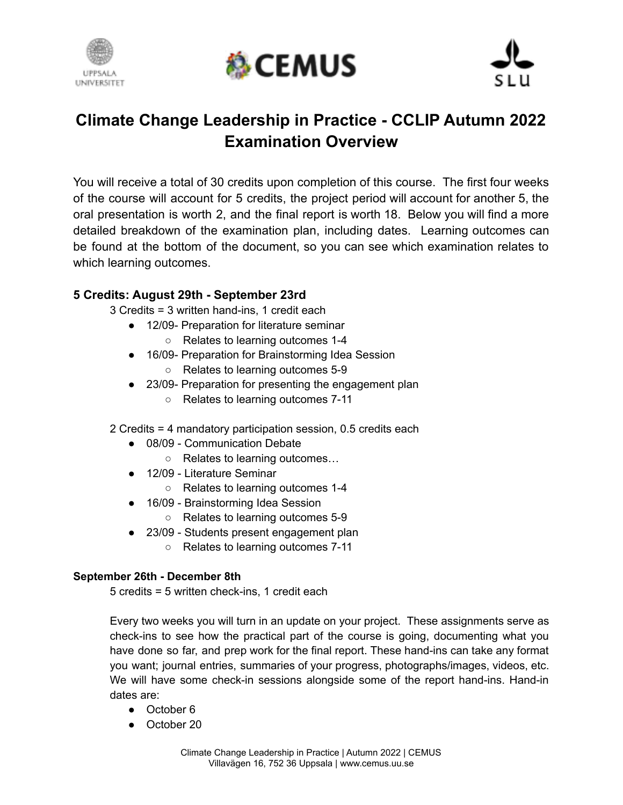





# **Climate Change Leadership in Practice - CCLIP Autumn 2022 Examination Overview**

You will receive a total of 30 credits upon completion of this course. The first four weeks of the course will account for 5 credits, the project period will account for another 5, the oral presentation is worth 2, and the final report is worth 18. Below you will find a more detailed breakdown of the examination plan, including dates. Learning outcomes can be found at the bottom of the document, so you can see which examination relates to which learning outcomes.

## **5 Credits: August 29th - September 23rd**

3 Credits = 3 written hand-ins, 1 credit each

- 12/09- Preparation for literature seminar
	- Relates to learning outcomes 1-4
- 16/09- Preparation for Brainstorming Idea Session ○ Relates to learning outcomes 5-9
- 23/09- Preparation for presenting the engagement plan
	- Relates to learning outcomes 7-11

2 Credits = 4 mandatory participation session, 0.5 credits each

- 08/09 Communication Debate
	- Relates to learning outcomes…
- 12/09 Literature Seminar
	- Relates to learning outcomes 1-4
- 16/09 Brainstorming Idea Session
	- Relates to learning outcomes 5-9
- 23/09 Students present engagement plan
	- Relates to learning outcomes 7-11

#### **September 26th - December 8th**

5 credits = 5 written check-ins, 1 credit each

Every two weeks you will turn in an update on your project. These assignments serve as check-ins to see how the practical part of the course is going, documenting what you have done so far, and prep work for the final report. These hand-ins can take any format you want; journal entries, summaries of your progress, photographs/images, videos, etc. We will have some check-in sessions alongside some of the report hand-ins. Hand-in dates are:

- October 6
- October 20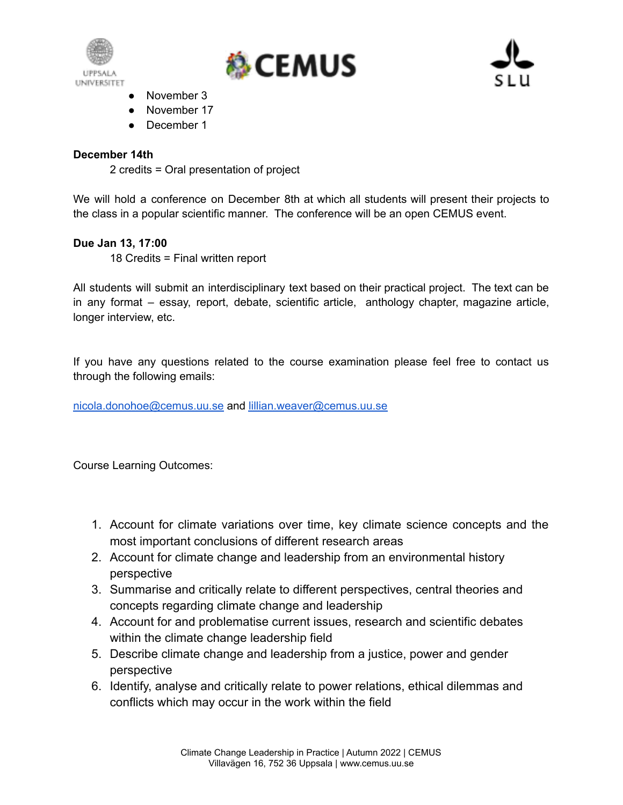





- November 3
- November 17
- December 1

### **December 14th**

2 credits = Oral presentation of project

We will hold a conference on December 8th at which all students will present their projects to the class in a popular scientific manner. The conference will be an open CEMUS event.

#### **Due Jan 13, 17:00**

18 Credits = Final written report

All students will submit an interdisciplinary text based on their practical project. The text can be in any format – essay, report, debate, scientific article, anthology chapter, magazine article, longer interview, etc.

If you have any questions related to the course examination please feel free to contact us through the following emails:

[nicola.donohoe@cemus.uu.se](mailto:nicola.donohoe@cemus.uu.se) and [lillian.weaver@cemus.uu.se](mailto:lillian.weaver@cemus.uu.se)

Course Learning Outcomes:

- 1. Account for climate variations over time, key climate science concepts and the most important conclusions of different research areas
- 2. Account for climate change and leadership from an environmental history perspective
- 3. Summarise and critically relate to different perspectives, central theories and concepts regarding climate change and leadership
- 4. Account for and problematise current issues, research and scientific debates within the climate change leadership field
- 5. Describe climate change and leadership from a justice, power and gender perspective
- 6. Identify, analyse and critically relate to power relations, ethical dilemmas and conflicts which may occur in the work within the field